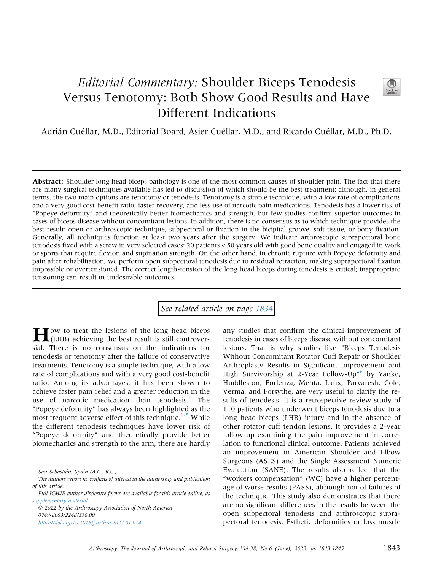## Editorial Commentary: Shoulder Biceps Tenodesis Versus Tenotomy: Both Show Good Results and Have Different Indications



Adrián Cuéllar, M.D., Editorial Board, Asier Cuéllar, M.D., and Ricardo Cuéllar, M.D., Ph.D.

Abstract: Shoulder long head biceps pathology is one of the most common causes of shoulder pain. The fact that there are many surgical techniques available has led to discussion of which should be the best treatment; although, in general terms, the two main options are tenotomy or tenodesis. Tenotomy is a simple technique, with a low rate of complications and a very good cost-benefit ratio, faster recovery, and less use of narcotic pain medications. Tenodesis has a lower risk of "Popeye deformity" and theoretically better biomechanics and strength, but few studies confirm superior outcomes in cases of biceps disease without concomitant lesions. In addition, there is no consensus as to which technique provides the best result: open or arthroscopic technique, subpectoral or fixation in the bicipital groove, soft tissue, or bony fixation. Generally, all techniques function at least two years after the surgery. We indicate arthroscopic suprapectoral bone tenodesis fixed with a screw in very selected cases: 20 patients <50 years old with good bone quality and engaged in work or sports that require flexion and supination strength. On the other hand, in chronic rupture with Popeye deformity and pain after rehabilitation, we perform open subpectoral tenodesis due to residual retraction, making suprapectoral fixation impossible or overtensioned. The correct length-tension of the long head biceps during tenodesis is critical; inappropriate tensioning can result in undesirable outcomes.

## See related article on page [1834](http://www.arthroscopyjournal.org/article/S0749-8063(21)01105-1/abstract)

 $\blacksquare$  ow to treat the lesions of the long head biceps (LHB) achieving the best result is still controversial. There is no consensus on the indications for tenodesis or tenotomy after the failure of conservative treatments. Tenotomy is a simple technique, with a low rate of complications and with a very good cost-benefit ratio. Among its advantages, it has been shown to achieve faster pain relief and a greater reduction in the use of narcotic medication than tenodesis.<sup>[1](#page-1-0)</sup> The "Popeye deformity" has always been highlighted as the most frequent adverse effect of this technique.<sup>[1-5](#page-1-0)</sup> While the different tenodesis techniques have lower risk of "Popeye deformity" and theoretically provide better biomechanics and strength to the arm, there are hardly

 2022 by the Arthroscopy Association of North America 0749-8063/2248/\$36.00 <https://doi.org/10.1016/j.arthro.2022.01.014>

any studies that confirm the clinical improvement of tenodesis in cases of biceps disease without concomitant lesions. That is why studies like "Biceps Tenodesis Without Concomitant Rotator Cuff Repair or Shoulder Arthroplasty Results in Significant Improvement and High Survivorship at 2-Year Follow-Up" [6](#page-2-0) by Yanke, Huddleston, Forlenza, Mehta, Laux, Parvaresh, Cole, Verma, and Forsythe, are very useful to clarify the results of tenodesis. It is a retrospective review study of 110 patients who underwent biceps tenodesis due to a long head biceps (LHB) injury and in the absence of other rotator cuff tendon lesions. It provides a 2-year follow-up examining the pain improvement in correlation to functional clinical outcome. Patients achieved an improvement in American Shoulder and Elbow Surgeons (ASES) and the Single Assessment Numeric Evaluation (SANE). The results also reflect that the "workers compensation" (WC) have a higher percentage of worse results (PASS), although not of failures of the technique. This study also demonstrates that there are no significant differences in the results between the open subpectoral tenodesis and arthroscopic suprapectoral tenodesis. Esthetic deformities or loss muscle

San Sebastián, Spain (A.C., R.C.)

The authors report no conflicts of interest in the authorship and publication of this article.

Full ICMJE author disclosure forms are available for this article online, as supplementary material.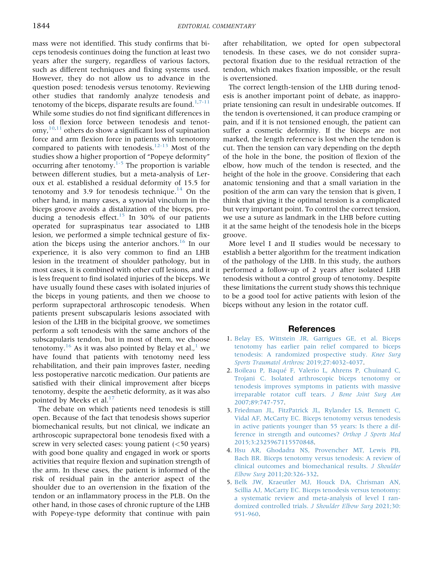mass were not identified. This study confirms that biceps tenodesis continues doing the function at least two years after the surgery, regardless of various factors, such as different techniques and fixing systems used. However, they do not allow us to advance in the question posed: tenodesis versus tenotomy. Reviewing other studies that randomly analyze tenodesis and tenotomy of the biceps, disparate results are found. $1,7-11$  $1,7-11$ While some studies do not find significant differences in loss of flexion force between tenodesis and tenot- $\langle$  omy,  $^{10,11}$  $^{10,11}$  $^{10,11}$  $^{10,11}$  others do show a significant loss of supination force and arm flexion force in patients with tenotomy compared to patients with tenodesis.<sup>[12-13](#page-2-4)</sup> Most of the studies show a higher proportion of "Popeye deformity" occurring after tenotomy. $\frac{1}{5}$  The proportion is variable between different studies, but a meta-analysis of Leroux et al. established a residual deformity of 15.5 for tenotomy and 3.9 for tenodesis technique.<sup>[14](#page-2-5)</sup> On the other hand, in many cases, a synovial vinculum in the biceps groove avoids a distalization of the biceps, pro-ducing a tenodesis effect.<sup>[15](#page-2-6)</sup> In 30% of our patients operated for supraspinatus tear associated to LHB lesion, we performed a simple technical gesture of fixation the biceps using the anterior anchors. $16$  In our experience, it is also very common to find an LHB lesion in the treatment of shoulder pathology, but in most cases, it is combined with other cuff lesions, and it is less frequent to find isolated injuries of the biceps. We have usually found these cases with isolated injuries of the biceps in young patients, and then we choose to perform suprapectoral arthroscopic tenodesis. When patients present subscapularis lesions associated with lesion of the LHB in the bicipital groove, we sometimes perform a soft tenodesis with the same anchors of the subscapularis tendon, but in most of them, we choose tenotomy.<sup>[16](#page-2-7)</sup> As it was also pointed by Belay et al.,<sup>[1](#page-1-0)</sup> we have found that patients with tenotomy need less rehabilitation, and their pain improves faster, needing less postoperative narcotic medication. Our patients are satisfied with their clinical improvement after biceps tenotomy, despite the aesthetic deformity, as it was also pointed by Meeks et al. $17$ 

The debate on which patients need tenodesis is still open. Because of the fact that tenodesis shows superior biomechanical results, but not clinical, we indicate an arthroscopic suprapectoral bone tenodesis fixed with a screw in very selected cases: young patient (<50 years) with good bone quality and engaged in work or sports activities that require flexion and supination strength of the arm. In these cases, the patient is informed of the risk of residual pain in the anterior aspect of the shoulder due to an overtension in the fixation of the tendon or an inflammatory process in the PLB. On the other hand, in those cases of chronic rupture of the LHB with Popeye-type deformity that continue with pain after rehabilitation, we opted for open subpectoral tenodesis. In these cases, we do not consider suprapectoral fixation due to the residual retraction of the tendon, which makes fixation impossible, or the result is overtensioned.

The correct length-tension of the LHB during tenodesis is another important point of debate, as inappropriate tensioning can result in undesirable outcomes. If the tendon is overtensioned, it can produce cramping or pain, and if it is not tensioned enough, the patient can suffer a cosmetic deformity. If the biceps are not marked, the length reference is lost when the tendon is cut. Then the tension can vary depending on the depth of the hole in the bone, the position of flexion of the elbow, how much of the tendon is resected, and the height of the hole in the groove. Considering that each anatomic tensioning and that a small variation in the position of the arm can vary the tension that is given, I think that giving it the optimal tension is a complicated but very important point. To control the correct tension, we use a suture as landmark in the LHB before cutting it at the same height of the tenodesis hole in the biceps groove.

More level I and II studies would be necessary to establish a better algorithm for the treatment indication of the pathology of the LHB. In this study, the authors performed a follow-up of 2 years after isolated LHB tenodesis without a control group of tenotomy. Despite these limitations the current study shows this technique to be a good tool for active patients with lesion of the biceps without any lesion in the rotator cuff.

## References

- <span id="page-1-0"></span>1. [Belay ES, Wittstein JR, Garrigues GE, et al. Biceps](http://refhub.elsevier.com/S0749-8063(22)00017-2/sref1) [tenotomy has earlier pain relief compared to biceps](http://refhub.elsevier.com/S0749-8063(22)00017-2/sref1) [tenodesis: A randomized prospective study.](http://refhub.elsevier.com/S0749-8063(22)00017-2/sref1) Knee Surg [Sports Traumatol Arthrosc](http://refhub.elsevier.com/S0749-8063(22)00017-2/sref1) 2019;27:4032-4037.
- 2. [Boileau P, Baqué F, Valerio L, Ahrens P, Chuinard C,](http://refhub.elsevier.com/S0749-8063(22)00017-2/sref2) [Trojani C. Isolated arthroscopic biceps tenotomy or](http://refhub.elsevier.com/S0749-8063(22)00017-2/sref2) [tenodesis improves symptoms in patients with massive](http://refhub.elsevier.com/S0749-8063(22)00017-2/sref2) [irreparable rotator cuff tears.](http://refhub.elsevier.com/S0749-8063(22)00017-2/sref2) J Bone Joint Surg Am [2007;89:747-757](http://refhub.elsevier.com/S0749-8063(22)00017-2/sref2).
- 3. [Friedman JL, FitzPatrick JL, Rylander LS, Bennett C,](http://refhub.elsevier.com/S0749-8063(22)00017-2/sref3) [Vidal AF, McCarty EC. Biceps tenotomy versus tenodesis](http://refhub.elsevier.com/S0749-8063(22)00017-2/sref3) [in active patients younger than 55 years: Is there a dif](http://refhub.elsevier.com/S0749-8063(22)00017-2/sref3)[ference in strength and outcomes?](http://refhub.elsevier.com/S0749-8063(22)00017-2/sref3) Orthop J Sports Med [2015;3:2325967115570848](http://refhub.elsevier.com/S0749-8063(22)00017-2/sref3).
- 4. [Hsu AR, Ghodadra NS, Provencher MT, Lewis PB,](http://refhub.elsevier.com/S0749-8063(22)00017-2/sref4) [Bach BR. Biceps tenotomy versus tenodesis: A review of](http://refhub.elsevier.com/S0749-8063(22)00017-2/sref4) [clinical outcomes and biomechanical results.](http://refhub.elsevier.com/S0749-8063(22)00017-2/sref4) J Shoulder Elbow Surg [2011;20:326-332.](http://refhub.elsevier.com/S0749-8063(22)00017-2/sref4)
- 5. [Belk JW, Kraeutler MJ, Houck DA, Chrisman AN,](http://refhub.elsevier.com/S0749-8063(22)00017-2/sref5) [Scillia AJ, McCarty EC. Biceps tenodesis versus tenotomy:](http://refhub.elsevier.com/S0749-8063(22)00017-2/sref5) [a systematic review and meta-analysis of level I ran](http://refhub.elsevier.com/S0749-8063(22)00017-2/sref5)[domized controlled trials.](http://refhub.elsevier.com/S0749-8063(22)00017-2/sref5) J Shoulder Elbow Surg 2021;30: [951-960.](http://refhub.elsevier.com/S0749-8063(22)00017-2/sref5)